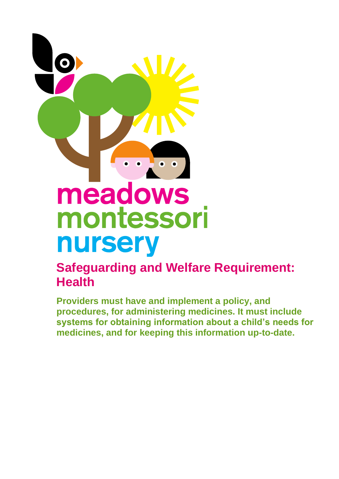

## **Safeguarding and Welfare Requirement: Health**

**Providers must have and implement a policy, and procedures, for administering medicines. It must include systems for obtaining information about a child's needs for medicines, and for keeping this information up-to-date.**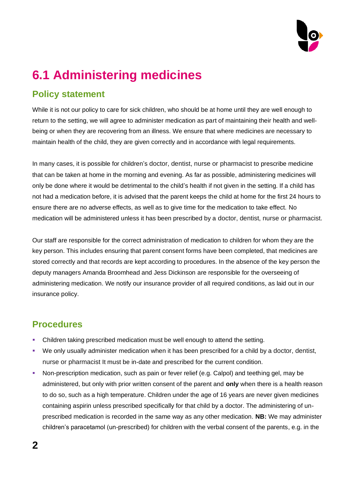

# **6.1 Administering medicines**

## **Policy statement**

While it is not our policy to care for sick children, who should be at home until they are well enough to return to the setting, we will agree to administer medication as part of maintaining their health and wellbeing or when they are recovering from an illness. We ensure that where medicines are necessary to maintain health of the child, they are given correctly and in accordance with legal requirements.

In many cases, it is possible for children's doctor, dentist, nurse or pharmacist to prescribe medicine that can be taken at home in the morning and evening. As far as possible, administering medicines will only be done where it would be detrimental to the child's health if not given in the setting. If a child has not had a medication before, it is advised that the parent keeps the child at home for the first 24 hours to ensure there are no adverse effects, as well as to give time for the medication to take effect. No medication will be administered unless it has been prescribed by a doctor, dentist, nurse or pharmacist.

Our staff are responsible for the correct administration of medication to children for whom they are the key person. This includes ensuring that parent consent forms have been completed, that medicines are stored correctly and that records are kept according to procedures. In the absence of the key person the deputy managers Amanda Broomhead and Jess Dickinson are responsible for the overseeing of administering medication. We notify our insurance provider of all required conditions, as laid out in our insurance policy.

## **Procedures**

- Children taking prescribed medication must be well enough to attend the setting.
- We only usually administer medication when it has been prescribed for a child by a doctor, dentist, nurse or pharmacist It must be in-date and prescribed for the current condition.
- Non-prescription medication, such as pain or fever relief (e.g. Calpol) and teething gel, may be administered, but only with prior written consent of the parent and **only** when there is a health reason to do so, such as a high temperature. Children under the age of 16 years are never given medicines containing aspirin unless prescribed specifically for that child by a doctor. The administering of unprescribed medication is recorded in the same way as any other medication. **NB:** We may administer children's paracetamol (un-prescribed) for children with the verbal consent of the parents, e.g. in the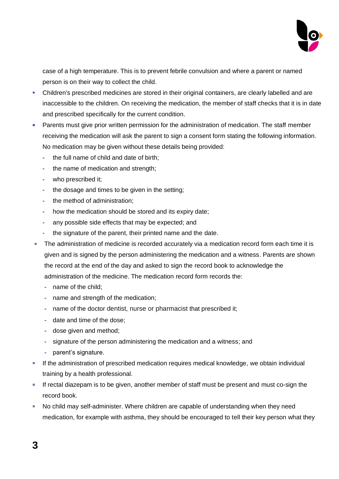

case of a high temperature. This is to prevent febrile convulsion and where a parent or named person is on their way to collect the child.

- Children's prescribed medicines are stored in their original containers, are clearly labelled and are inaccessible to the children. On receiving the medication, the member of staff checks that it is in date and prescribed specifically for the current condition.
- **EXEDENT Parents must give prior written permission for the administration of medication. The staff member** receiving the medication will ask the parent to sign a consent form stating the following information. No medication may be given without these details being provided:
	- **-** the full name of child and date of birth;
	- **-** the name of medication and strength;
	- **-** who prescribed it;
	- **-** the dosage and times to be given in the setting;
	- **-** the method of administration;
	- **-** how the medication should be stored and its expiry date;
	- **-** any possible side effects that may be expected; and
	- **-** the signature of the parent, their printed name and the date.
- **The administration of medicine is recorded accurately via a medication record form each time it is** given and is signed by the person administering the medication and a witness. Parents are shown the record at the end of the day and asked to sign the record book to acknowledge the administration of the medicine. The medication record form records the:
	- **-** name of the child;
	- **-** name and strength of the medication;
	- **-** name of the doctor dentist, nurse or pharmacist that prescribed it;
	- **-** date and time of the dose;
	- **-** dose given and method;
	- **-** signature of the person administering the medication and a witness; and
	- **-** parent's signature.
- **EXECT** If the administration of prescribed medication requires medical knowledge, we obtain individual training by a health professional.
- **EXECT** If rectal diazepam is to be given, another member of staff must be present and must co-sign the record book.
- No child may self-administer. Where children are capable of understanding when they need medication, for example with asthma, they should be encouraged to tell their key person what they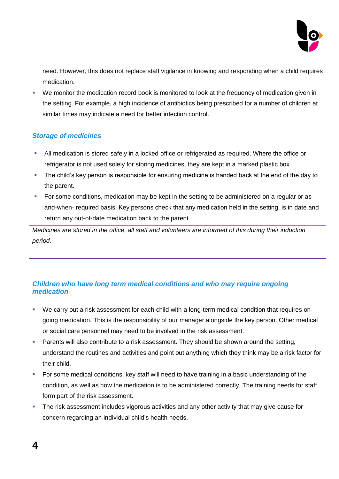

need. However, this does not replace staff vigilance in knowing and responding when a child requires medication.

• We monitor the medication record book is monitored to look at the frequency of medication given in the setting. For example, a high incidence of antibiotics being prescribed for a number of children at similar times may indicate a need for better infection control.

#### *Storage of medicines*

- All medication is stored safely in a locked office or refrigerated as required. Where the office or refrigerator is not used solely for storing medicines, they are kept in a marked plastic box.
- The child's key person is responsible for ensuring medicine is handed back at the end of the day to the parent.
- For some conditions, medication may be kept in the setting to be administered on a regular or asand-when- required basis. Key persons check that any medication held in the setting, is in date and return any out-of-date medication back to the parent.

*Medicines are stored in the office, all staff and volunteers are informed of this during their induction period.*

#### *Children who have long term medical conditions and who may require ongoing medication*

- We carry out a risk assessment for each child with a long-term medical condition that requires ongoing medication. This is the responsibility of our manager alongside the key person. Other medical or social care personnel may need to be involved in the risk assessment.
- **Parents will also contribute to a risk assessment. They should be shown around the setting,** understand the routines and activities and point out anything which they think may be a risk factor for their child.
- For some medical conditions, key staff will need to have training in a basic understanding of the condition, as well as how the medication is to be administered correctly. The training needs for staff form part of the risk assessment.
- **•** The risk assessment includes vigorous activities and any other activity that may give cause for concern regarding an individual child's health needs.